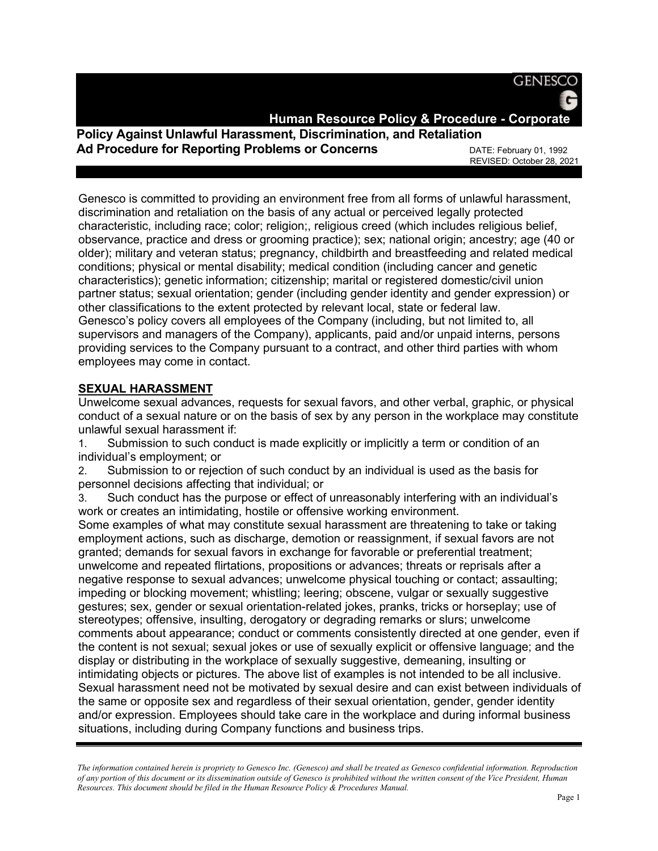**GENESCO** 

**Human Resource Policy & Procedure - Corporate**

# **Policy Against Unlawful Harassment, Discrimination, and Retaliation Ad Procedure for Reporting Problems or Concerns DATE: February 01, 1992**

REVISED: October 28, 2021

Genesco is committed to providing an environment free from all forms of unlawful harassment, discrimination and retaliation on the basis of any actual or perceived legally protected characteristic, including race; color; religion;, religious creed (which includes religious belief, observance, practice and dress or grooming practice); sex; national origin; ancestry; age (40 or older); military and veteran status; pregnancy, childbirth and breastfeeding and related medical conditions; physical or mental disability; medical condition (including cancer and genetic characteristics); genetic information; citizenship; marital or registered domestic/civil union partner status; sexual orientation; gender (including gender identity and gender expression) or other classifications to the extent protected by relevant local, state or federal law. Genesco's policy covers all employees of the Company (including, but not limited to, all supervisors and managers of the Company), applicants, paid and/or unpaid interns, persons providing services to the Company pursuant to a contract, and other third parties with whom employees may come in contact.

### **SEXUAL HARASSMENT**

Unwelcome sexual advances, requests for sexual favors, and other verbal, graphic, or physical conduct of a sexual nature or on the basis of sex by any person in the workplace may constitute unlawful sexual harassment if:

1. Submission to such conduct is made explicitly or implicitly a term or condition of an individual's employment; or

2. Submission to or rejection of such conduct by an individual is used as the basis for personnel decisions affecting that individual; or

3. Such conduct has the purpose or effect of unreasonably interfering with an individual's work or creates an intimidating, hostile or offensive working environment.

Some examples of what may constitute sexual harassment are threatening to take or taking employment actions, such as discharge, demotion or reassignment, if sexual favors are not granted; demands for sexual favors in exchange for favorable or preferential treatment; unwelcome and repeated flirtations, propositions or advances; threats or reprisals after a negative response to sexual advances; unwelcome physical touching or contact; assaulting; impeding or blocking movement; whistling; leering; obscene, vulgar or sexually suggestive gestures; sex, gender or sexual orientation-related jokes, pranks, tricks or horseplay; use of stereotypes; offensive, insulting, derogatory or degrading remarks or slurs; unwelcome comments about appearance; conduct or comments consistently directed at one gender, even if the content is not sexual; sexual jokes or use of sexually explicit or offensive language; and the display or distributing in the workplace of sexually suggestive, demeaning, insulting or intimidating objects or pictures. The above list of examples is not intended to be all inclusive. Sexual harassment need not be motivated by sexual desire and can exist between individuals of the same or opposite sex and regardless of their sexual orientation, gender, gender identity and/or expression. Employees should take care in the workplace and during informal business situations, including during Company functions and business trips.

*The information contained herein is propriety to Genesco Inc. (Genesco) and shall be treated as Genesco confidential information. Reproduction of any portion of this document or its dissemination outside of Genesco is prohibited without the written consent of the Vice President, Human Resources. This document should be filed in the Human Resource Policy & Procedures Manual.*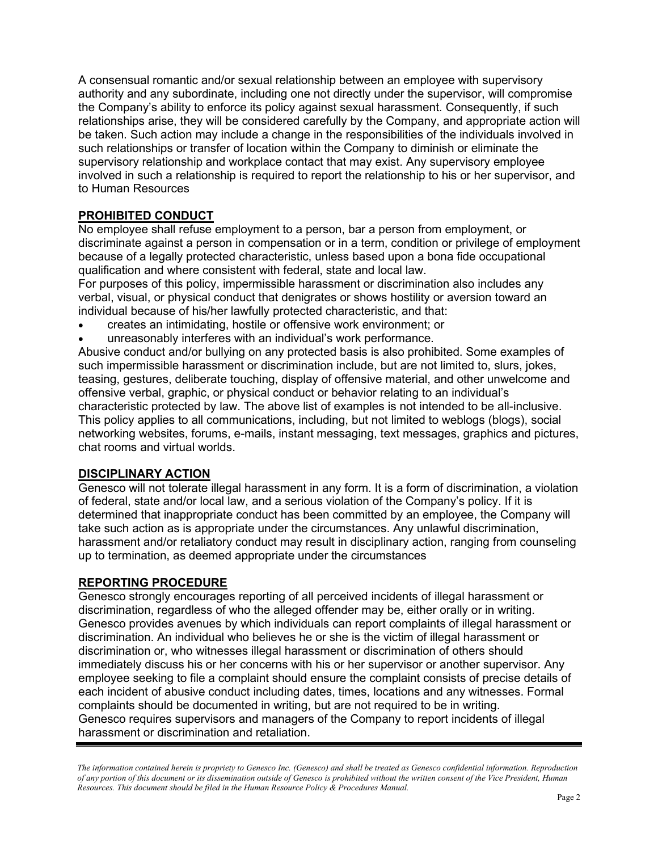A consensual romantic and/or sexual relationship between an employee with supervisory authority and any subordinate, including one not directly under the supervisor, will compromise the Company's ability to enforce its policy against sexual harassment. Consequently, if such relationships arise, they will be considered carefully by the Company, and appropriate action will be taken. Such action may include a change in the responsibilities of the individuals involved in such relationships or transfer of location within the Company to diminish or eliminate the supervisory relationship and workplace contact that may exist. Any supervisory employee involved in such a relationship is required to report the relationship to his or her supervisor, and to Human Resources

## **PROHIBITED CONDUCT**

No employee shall refuse employment to a person, bar a person from employment, or discriminate against a person in compensation or in a term, condition or privilege of employment because of a legally protected characteristic, unless based upon a bona fide occupational qualification and where consistent with federal, state and local law.

For purposes of this policy, impermissible harassment or discrimination also includes any verbal, visual, or physical conduct that denigrates or shows hostility or aversion toward an individual because of his/her lawfully protected characteristic, and that:

- creates an intimidating, hostile or offensive work environment; or
- unreasonably interferes with an individual's work performance.

Abusive conduct and/or bullying on any protected basis is also prohibited. Some examples of such impermissible harassment or discrimination include, but are not limited to, slurs, jokes, teasing, gestures, deliberate touching, display of offensive material, and other unwelcome and offensive verbal, graphic, or physical conduct or behavior relating to an individual's characteristic protected by law. The above list of examples is not intended to be all-inclusive. This policy applies to all communications, including, but not limited to weblogs (blogs), social networking websites, forums, e-mails, instant messaging, text messages, graphics and pictures, chat rooms and virtual worlds.

### **DISCIPLINARY ACTION**

Genesco will not tolerate illegal harassment in any form. It is a form of discrimination, a violation of federal, state and/or local law, and a serious violation of the Company's policy. If it is determined that inappropriate conduct has been committed by an employee, the Company will take such action as is appropriate under the circumstances. Any unlawful discrimination, harassment and/or retaliatory conduct may result in disciplinary action, ranging from counseling up to termination, as deemed appropriate under the circumstances

### **REPORTING PROCEDURE**

Genesco strongly encourages reporting of all perceived incidents of illegal harassment or discrimination, regardless of who the alleged offender may be, either orally or in writing. Genesco provides avenues by which individuals can report complaints of illegal harassment or discrimination. An individual who believes he or she is the victim of illegal harassment or discrimination or, who witnesses illegal harassment or discrimination of others should immediately discuss his or her concerns with his or her supervisor or another supervisor. Any employee seeking to file a complaint should ensure the complaint consists of precise details of each incident of abusive conduct including dates, times, locations and any witnesses. Formal complaints should be documented in writing, but are not required to be in writing. Genesco requires supervisors and managers of the Company to report incidents of illegal harassment or discrimination and retaliation.

*The information contained herein is propriety to Genesco Inc. (Genesco) and shall be treated as Genesco confidential information. Reproduction of any portion of this document or its dissemination outside of Genesco is prohibited without the written consent of the Vice President, Human Resources. This document should be filed in the Human Resource Policy & Procedures Manual.*